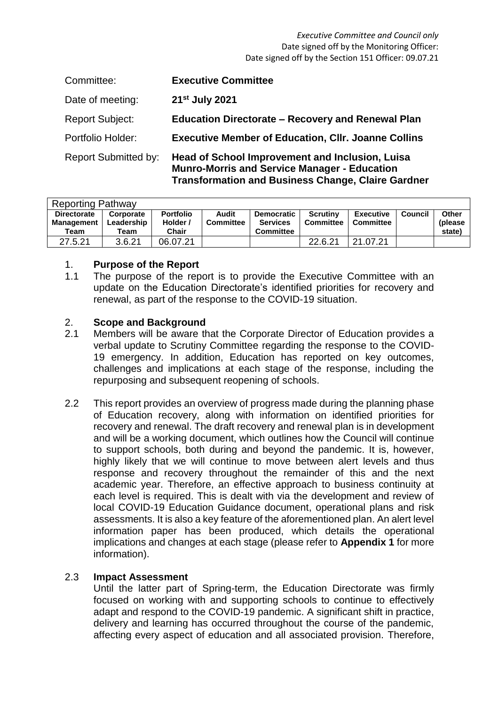#### *Executive Committee and Council only* Date signed off by the Monitoring Officer: Date signed off by the Section 151 Officer: 09.07.21

| Committee:                  | <b>Executive Committee</b>                                                                                                                                                 |
|-----------------------------|----------------------------------------------------------------------------------------------------------------------------------------------------------------------------|
| Date of meeting:            | 21 <sup>st</sup> July 2021                                                                                                                                                 |
| <b>Report Subject:</b>      | <b>Education Directorate - Recovery and Renewal Plan</b>                                                                                                                   |
| Portfolio Holder:           | <b>Executive Member of Education, CIIr. Joanne Collins</b>                                                                                                                 |
| <b>Report Submitted by:</b> | <b>Head of School Improvement and Inclusion, Luisa</b><br><b>Munro-Morris and Service Manager - Education</b><br><b>Transformation and Business Change, Claire Gardner</b> |

| <b>Reporting Pathway</b>                 |                                 |                                              |                           |                                                          |                                     |                        |         |                             |  |  |
|------------------------------------------|---------------------------------|----------------------------------------------|---------------------------|----------------------------------------------------------|-------------------------------------|------------------------|---------|-----------------------------|--|--|
| <b>Directorate</b><br>Management<br>Team | Corporate<br>Leadership<br>Team | <b>Portfolio</b><br>Holder /<br><b>Chair</b> | Audit<br><b>Committee</b> | <b>Democratic</b><br><b>Services</b><br><b>Committee</b> | <b>Scrutiny</b><br><b>Committee</b> | Executive<br>Committee | Council | Other<br>(please)<br>state) |  |  |
| 27.5.21                                  | 3.6.21                          | 06.07.21                                     |                           |                                                          | 22.6.21                             | 21.07.21               |         |                             |  |  |

## 1. **Purpose of the Report**

1.1 The purpose of the report is to provide the Executive Committee with an update on the Education Directorate's identified priorities for recovery and renewal, as part of the response to the COVID-19 situation.

# 2. **Scope and Background**

- 2.1 Members will be aware that the Corporate Director of Education provides a verbal update to Scrutiny Committee regarding the response to the COVID-19 emergency. In addition, Education has reported on key outcomes, challenges and implications at each stage of the response, including the repurposing and subsequent reopening of schools.
- 2.2 This report provides an overview of progress made during the planning phase of Education recovery, along with information on identified priorities for recovery and renewal. The draft recovery and renewal plan is in development and will be a working document, which outlines how the Council will continue to support schools, both during and beyond the pandemic. It is, however, highly likely that we will continue to move between alert levels and thus response and recovery throughout the remainder of this and the next academic year. Therefore, an effective approach to business continuity at each level is required. This is dealt with via the development and review of local COVID-19 Education Guidance document, operational plans and risk assessments. It is also a key feature of the aforementioned plan. An alert level information paper has been produced, which details the operational implications and changes at each stage (please refer to **Appendix 1** for more information).

#### 2.3 **Impact Assessment**

Until the latter part of Spring-term, the Education Directorate was firmly focused on working with and supporting schools to continue to effectively adapt and respond to the COVID-19 pandemic. A significant shift in practice, delivery and learning has occurred throughout the course of the pandemic, affecting every aspect of education and all associated provision. Therefore,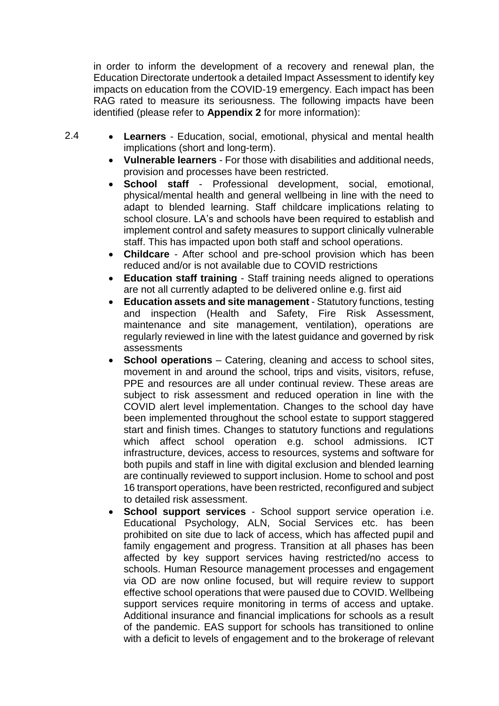in order to inform the development of a recovery and renewal plan, the Education Directorate undertook a detailed Impact Assessment to identify key impacts on education from the COVID-19 emergency. Each impact has been RAG rated to measure its seriousness. The following impacts have been identified (please refer to **Appendix 2** for more information):

- 2.4 **Learners** - Education, social, emotional, physical and mental health implications (short and long-term).
	- **Vulnerable learners** For those with disabilities and additional needs, provision and processes have been restricted.
	- **School staff** Professional development, social, emotional, physical/mental health and general wellbeing in line with the need to adapt to blended learning. Staff childcare implications relating to school closure. LA's and schools have been required to establish and implement control and safety measures to support clinically vulnerable staff. This has impacted upon both staff and school operations.
	- **Childcare** After school and pre-school provision which has been reduced and/or is not available due to COVID restrictions
	- **Education staff training** Staff training needs aligned to operations are not all currently adapted to be delivered online e.g. first aid
	- **Education assets and site management** Statutory functions, testing and inspection (Health and Safety, Fire Risk Assessment, maintenance and site management, ventilation), operations are regularly reviewed in line with the latest guidance and governed by risk assessments
	- **School operations** Catering, cleaning and access to school sites, movement in and around the school, trips and visits, visitors, refuse, PPE and resources are all under continual review. These areas are subject to risk assessment and reduced operation in line with the COVID alert level implementation. Changes to the school day have been implemented throughout the school estate to support staggered start and finish times. Changes to statutory functions and regulations which affect school operation e.g. school admissions. ICT infrastructure, devices, access to resources, systems and software for both pupils and staff in line with digital exclusion and blended learning are continually reviewed to support inclusion. Home to school and post 16 transport operations, have been restricted, reconfigured and subject to detailed risk assessment.
	- **School support services** School support service operation i.e. Educational Psychology, ALN, Social Services etc. has been prohibited on site due to lack of access, which has affected pupil and family engagement and progress. Transition at all phases has been affected by key support services having restricted/no access to schools. Human Resource management processes and engagement via OD are now online focused, but will require review to support effective school operations that were paused due to COVID. Wellbeing support services require monitoring in terms of access and uptake. Additional insurance and financial implications for schools as a result of the pandemic. EAS support for schools has transitioned to online with a deficit to levels of engagement and to the brokerage of relevant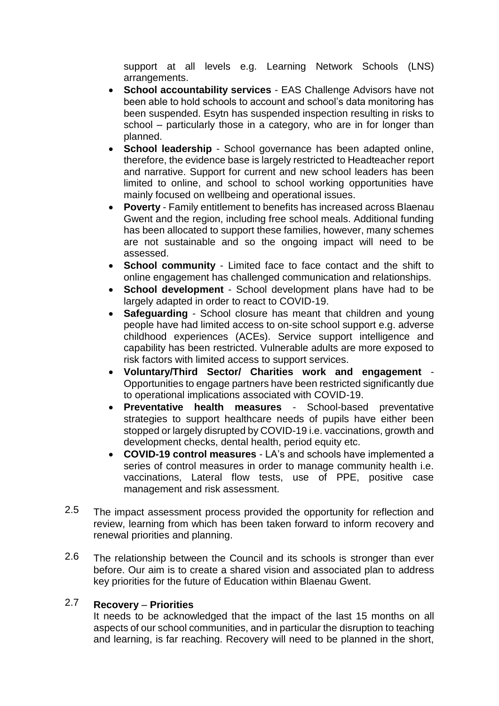support at all levels e.g. Learning Network Schools (LNS) arrangements.

- **School accountability services** EAS Challenge Advisors have not been able to hold schools to account and school's data monitoring has been suspended. Esytn has suspended inspection resulting in risks to school – particularly those in a category, who are in for longer than planned.
- **School leadership** School governance has been adapted online, therefore, the evidence base is largely restricted to Headteacher report and narrative. Support for current and new school leaders has been limited to online, and school to school working opportunities have mainly focused on wellbeing and operational issues.
- **Poverty** Family entitlement to benefits has increased across Blaenau Gwent and the region, including free school meals. Additional funding has been allocated to support these families, however, many schemes are not sustainable and so the ongoing impact will need to be assessed.
- **School community** Limited face to face contact and the shift to online engagement has challenged communication and relationships.
- **School development** School development plans have had to be largely adapted in order to react to COVID-19.
- **Safeguarding** School closure has meant that children and young people have had limited access to on-site school support e.g. adverse childhood experiences (ACEs). Service support intelligence and capability has been restricted. Vulnerable adults are more exposed to risk factors with limited access to support services.
- **Voluntary/Third Sector/ Charities work and engagement** Opportunities to engage partners have been restricted significantly due to operational implications associated with COVID-19.
- **Preventative health measures** School-based preventative strategies to support healthcare needs of pupils have either been stopped or largely disrupted by COVID-19 i.e. vaccinations, growth and development checks, dental health, period equity etc.
- **COVID-19 control measures** LA's and schools have implemented a series of control measures in order to manage community health i.e. vaccinations, Lateral flow tests, use of PPE, positive case management and risk assessment.
- 2.5 The impact assessment process provided the opportunity for reflection and review, learning from which has been taken forward to inform recovery and renewal priorities and planning.
- 2.6 The relationship between the Council and its schools is stronger than ever before. Our aim is to create a shared vision and associated plan to address key priorities for the future of Education within Blaenau Gwent.

#### 2.7 **Recovery** – **Priorities**

It needs to be acknowledged that the impact of the last 15 months on all aspects of our school communities, and in particular the disruption to teaching and learning, is far reaching. Recovery will need to be planned in the short,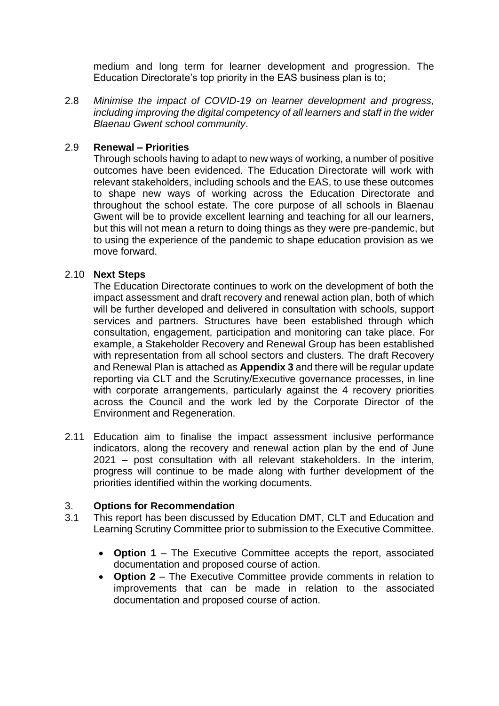medium and long term for learner development and progression. The Education Directorate's top priority in the EAS business plan is to;

2.8 *Minimise the impact of COVID-19 on learner development and progress, including improving the digital competency of all learners and staff in the wider Blaenau Gwent school community*.

#### 2.9 **Renewal – Priorities**

Through schools having to adapt to new ways of working, a number of positive outcomes have been evidenced. The Education Directorate will work with relevant stakeholders, including schools and the EAS, to use these outcomes to shape new ways of working across the Education Directorate and throughout the school estate. The core purpose of all schools in Blaenau Gwent will be to provide excellent learning and teaching for all our learners, but this will not mean a return to doing things as they were pre-pandemic, but to using the experience of the pandemic to shape education provision as we move forward.

## 2.10 **Next Steps**

The Education Directorate continues to work on the development of both the impact assessment and draft recovery and renewal action plan, both of which will be further developed and delivered in consultation with schools, support services and partners. Structures have been established through which consultation, engagement, participation and monitoring can take place. For example, a Stakeholder Recovery and Renewal Group has been established with representation from all school sectors and clusters. The draft Recovery and Renewal Plan is attached as **Appendix 3** and there will be regular update reporting via CLT and the Scrutiny/Executive governance processes, in line with corporate arrangements, particularly against the 4 recovery priorities across the Council and the work led by the Corporate Director of the Environment and Regeneration.

2.11 Education aim to finalise the impact assessment inclusive performance indicators, along the recovery and renewal action plan by the end of June 2021 – post consultation with all relevant stakeholders. In the interim, progress will continue to be made along with further development of the priorities identified within the working documents.

# 3. **Options for Recommendation**

- 3.1 This report has been discussed by Education DMT, CLT and Education and Learning Scrutiny Committee prior to submission to the Executive Committee.
	- **Option 1** The Executive Committee accepts the report, associated documentation and proposed course of action.
	- **Option 2** The Executive Committee provide comments in relation to improvements that can be made in relation to the associated documentation and proposed course of action.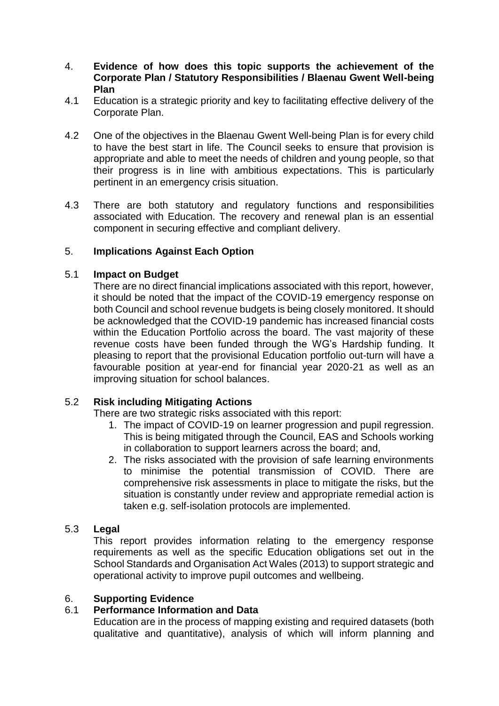- 4. **Evidence of how does this topic supports the achievement of the Corporate Plan / Statutory Responsibilities / Blaenau Gwent Well-being Plan**
- 4.1 Education is a strategic priority and key to facilitating effective delivery of the Corporate Plan.
- 4.2 One of the objectives in the Blaenau Gwent Well-being Plan is for every child to have the best start in life. The Council seeks to ensure that provision is appropriate and able to meet the needs of children and young people, so that their progress is in line with ambitious expectations. This is particularly pertinent in an emergency crisis situation.
- 4.3 There are both statutory and regulatory functions and responsibilities associated with Education. The recovery and renewal plan is an essential component in securing effective and compliant delivery.

# 5. **Implications Against Each Option**

## 5.1 **Impact on Budget**

There are no direct financial implications associated with this report, however, it should be noted that the impact of the COVID-19 emergency response on both Council and school revenue budgets is being closely monitored. It should be acknowledged that the COVID-19 pandemic has increased financial costs within the Education Portfolio across the board. The vast majority of these revenue costs have been funded through the WG's Hardship funding. It pleasing to report that the provisional Education portfolio out-turn will have a favourable position at year-end for financial year 2020-21 as well as an improving situation for school balances.

## 5.2 **Risk including Mitigating Actions**

There are two strategic risks associated with this report:

- 1. The impact of COVID-19 on learner progression and pupil regression. This is being mitigated through the Council, EAS and Schools working in collaboration to support learners across the board; and,
- 2. The risks associated with the provision of safe learning environments to minimise the potential transmission of COVID. There are comprehensive risk assessments in place to mitigate the risks, but the situation is constantly under review and appropriate remedial action is taken e.g. self-isolation protocols are implemented.

## 5.3 **Legal**

This report provides information relating to the emergency response requirements as well as the specific Education obligations set out in the School Standards and Organisation Act Wales (2013) to support strategic and operational activity to improve pupil outcomes and wellbeing.

### 6. **Supporting Evidence**

## 6.1 **Performance Information and Data**

Education are in the process of mapping existing and required datasets (both qualitative and quantitative), analysis of which will inform planning and